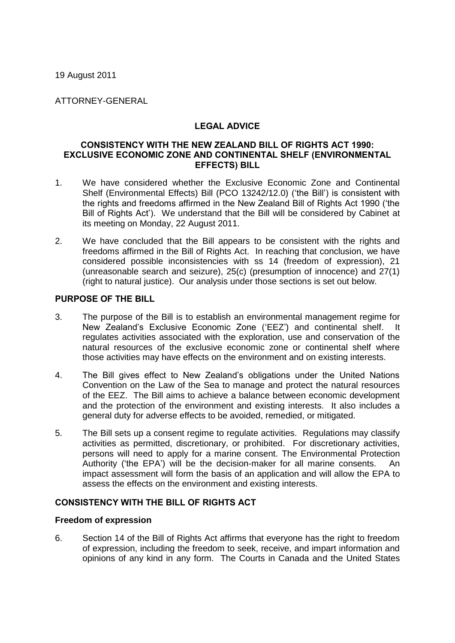19 August 2011

ATTORNEY-GENERAL

# LEGAL ADVICE

#### CONSISTENCY WITH THE NEW ZEALAND BILL OF RIGHTS ACT 1990: EXCLUSIVE ECONOMIC ZONE AND CONTINENTAL SHELF (ENVIRONMENTAL EFFECTS) BILL

- 1. We have considered whether the Exclusive Economic Zone and Continental Shelf (Environmental Effects) Bill (PCO 13242/12.0) ('the Bill') is consistent with the rights and freedoms affirmed in the New Zealand Bill of Rights Act 1990 ('the Bill of Rights Act'). We understand that the Bill will be considered by Cabinet at its meeting on Monday, 22 August 2011.
- 2. We have concluded that the Bill appears to be consistent with the rights and freedoms affirmed in the Bill of Rights Act. In reaching that conclusion, we have considered possible inconsistencies with ss 14 (freedom of expression), 21 (unreasonable search and seizure), 25(c) (presumption of innocence) and 27(1) (right to natural justice). Our analysis under those sections is set out below.

## PURPOSE OF THE BILL

- 3. The purpose of the Bill is to establish an environmental management regime for New Zealand's Exclusive Economic Zone ('EEZ') and continental shelf. It regulates activities associated with the exploration, use and conservation of the natural resources of the exclusive economic zone or continental shelf where those activities may have effects on the environment and on existing interests.
- 4. The Bill gives effect to New Zealand's obligations under the United Nations Convention on the Law of the Sea to manage and protect the natural resources of the EEZ. The Bill aims to achieve a balance between economic development and the protection of the environment and existing interests. It also includes a general duty for adverse effects to be avoided, remedied, or mitigated.
- 5. The Bill sets up a consent regime to regulate activities. Regulations may classify activities as permitted, discretionary, or prohibited. For discretionary activities, persons will need to apply for a marine consent. The Environmental Protection Authority ('the EPA') will be the decision-maker for all marine consents. An impact assessment will form the basis of an application and will allow the EPA to assess the effects on the environment and existing interests.

### CONSISTENCY WITH THE BILL OF RIGHTS ACT

### **Freedom of expression**

6. Section 14 of the Bill of Rights Act affirms that everyone has the right to freedom of expression, including the freedom to seek, receive, and impart information and opinions of any kind in any form. The Courts in Canada and the United States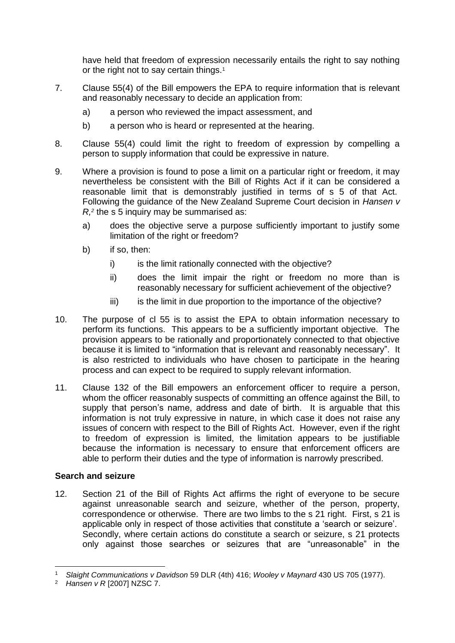have held that freedom of expression necessarily entails the right to say nothing or the right not to say certain things.<sup>1</sup>

- 7. Clause 55(4) of the Bill empowers the EPA to require information that is relevant and reasonably necessary to decide an application from:
	- a) a person who reviewed the impact assessment, and
	- b) a person who is heard or represented at the hearing.
- 8. Clause 55(4) could limit the right to freedom of expression by compelling a person to supply information that could be expressive in nature.
- 9. Where a provision is found to pose a limit on a particular right or freedom, it may nevertheless be consistent with the Bill of Rights Act if it can be considered a reasonable limit that is demonstrably justified in terms of s 5 of that Act. Following the guidance of the New Zealand Supreme Court decision in *Hansen v R,<sup>2</sup>* the s 5 inquiry may be summarised as:
	- a) does the objective serve a purpose sufficiently important to justify some limitation of the right or freedom?
	- b) if so, then:
		- i) is the limit rationally connected with the objective?
		- ii) does the limit impair the right or freedom no more than is reasonably necessary for sufficient achievement of the objective?
		- iii) is the limit in due proportion to the importance of the objective?
- 10. The purpose of cl 55 is to assist the EPA to obtain information necessary to perform its functions. This appears to be a sufficiently important objective. The provision appears to be rationally and proportionately connected to that objective because it is limited to "information that is relevant and reasonably necessary". It is also restricted to individuals who have chosen to participate in the hearing process and can expect to be required to supply relevant information.
- 11. Clause 132 of the Bill empowers an enforcement officer to require a person, whom the officer reasonably suspects of committing an offence against the Bill, to supply that person's name, address and date of birth. It is arguable that this information is not truly expressive in nature, in which case it does not raise any issues of concern with respect to the Bill of Rights Act. However, even if the right to freedom of expression is limited, the limitation appears to be justifiable because the information is necessary to ensure that enforcement officers are able to perform their duties and the type of information is narrowly prescribed.

### **Search and seizure**

12. Section 21 of the Bill of Rights Act affirms the right of everyone to be secure against unreasonable search and seizure, whether of the person, property, correspondence or otherwise. There are two limbs to the s 21 right. First, s 21 is applicable only in respect of those activities that constitute a 'search or seizure'. Secondly, where certain actions do constitute a search or seizure, s 21 protects only against those searches or seizures that are "unreasonable" in the

-

<sup>1</sup> *Slaight Communications v Davidson* 59 DLR (4th) 416; *Wooley v Maynard* 430 US 705 (1977).

<sup>2</sup> *Hansen v R* [2007] NZSC 7.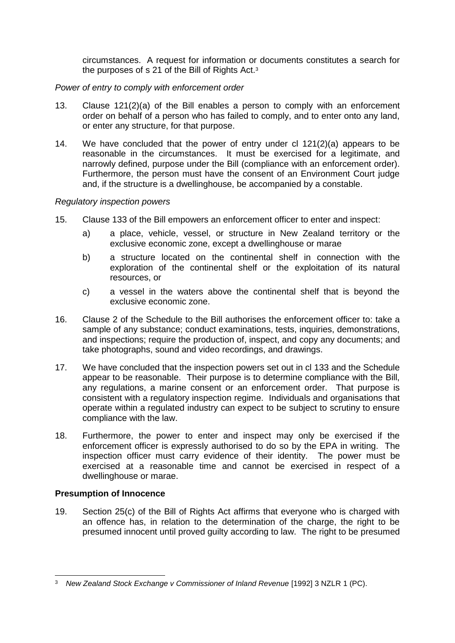circumstances. A request for information or documents constitutes a search for the purposes of s 21 of the Bill of Rights Act.<sup>3</sup>

## *Power of entry to comply with enforcement order*

- 13. Clause 121(2)(a) of the Bill enables a person to comply with an enforcement order on behalf of a person who has failed to comply, and to enter onto any land, or enter any structure, for that purpose.
- 14. We have concluded that the power of entry under cl 121(2)(a) appears to be reasonable in the circumstances. It must be exercised for a legitimate, and narrowly defined, purpose under the Bill (compliance with an enforcement order). Furthermore, the person must have the consent of an Environment Court judge and, if the structure is a dwellinghouse, be accompanied by a constable.

### *Regulatory inspection powers*

- 15. Clause 133 of the Bill empowers an enforcement officer to enter and inspect:
	- a) a place, vehicle, vessel, or structure in New Zealand territory or the exclusive economic zone, except a dwellinghouse or marae
	- b) a structure located on the continental shelf in connection with the exploration of the continental shelf or the exploitation of its natural resources, or
	- c) a vessel in the waters above the continental shelf that is beyond the exclusive economic zone.
- 16. Clause 2 of the Schedule to the Bill authorises the enforcement officer to: take a sample of any substance; conduct examinations, tests, inquiries, demonstrations, and inspections; require the production of, inspect, and copy any documents; and take photographs, sound and video recordings, and drawings.
- 17. We have concluded that the inspection powers set out in cl 133 and the Schedule appear to be reasonable. Their purpose is to determine compliance with the Bill, any regulations, a marine consent or an enforcement order. That purpose is consistent with a regulatory inspection regime. Individuals and organisations that operate within a regulated industry can expect to be subject to scrutiny to ensure compliance with the law.
- 18. Furthermore, the power to enter and inspect may only be exercised if the enforcement officer is expressly authorised to do so by the EPA in writing. The inspection officer must carry evidence of their identity. The power must be exercised at a reasonable time and cannot be exercised in respect of a dwellinghouse or marae.

# **Presumption of Innocence**

19. Section 25(c) of the Bill of Rights Act affirms that everyone who is charged with an offence has, in relation to the determination of the charge, the right to be presumed innocent until proved guilty according to law. The right to be presumed

 $\overline{a}$ <sup>3</sup> *New Zealand Stock Exchange v Commissioner of Inland Revenue* [1992] 3 NZLR 1 (PC).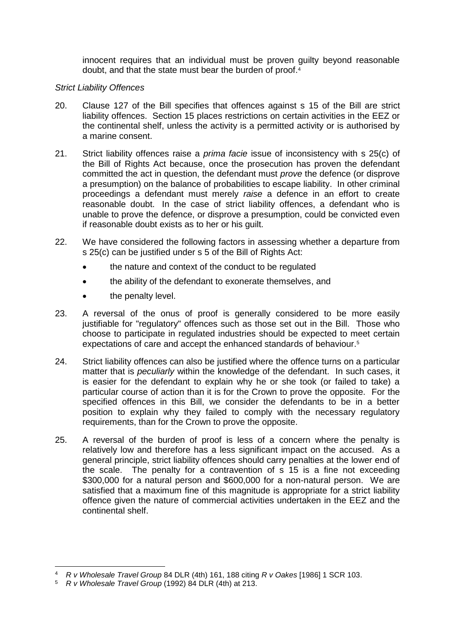innocent requires that an individual must be proven guilty beyond reasonable doubt, and that the state must bear the burden of proof.<sup>4</sup>

### *Strict Liability Offences*

- 20. Clause 127 of the Bill specifies that offences against s 15 of the Bill are strict liability offences. Section 15 places restrictions on certain activities in the EEZ or the continental shelf, unless the activity is a permitted activity or is authorised by a marine consent.
- 21. Strict liability offences raise a *prima facie* issue of inconsistency with s 25(c) of the Bill of Rights Act because, once the prosecution has proven the defendant committed the act in question, the defendant must *prove* the defence (or disprove a presumption) on the balance of probabilities to escape liability. In other criminal proceedings a defendant must merely *raise* a defence in an effort to create reasonable doubt. In the case of strict liability offences, a defendant who is unable to prove the defence, or disprove a presumption, could be convicted even if reasonable doubt exists as to her or his guilt.
- 22. We have considered the following factors in assessing whether a departure from s 25(c) can be justified under s 5 of the Bill of Rights Act:
	- the nature and context of the conduct to be regulated
	- the ability of the defendant to exonerate themselves, and
	- the penalty level.
- 23. A reversal of the onus of proof is generally considered to be more easily justifiable for "regulatory" offences such as those set out in the Bill. Those who choose to participate in regulated industries should be expected to meet certain expectations of care and accept the enhanced standards of behaviour. 5
- 24. Strict liability offences can also be justified where the offence turns on a particular matter that is *peculiarly* within the knowledge of the defendant. In such cases, it is easier for the defendant to explain why he or she took (or failed to take) a particular course of action than it is for the Crown to prove the opposite. For the specified offences in this Bill, we consider the defendants to be in a better position to explain why they failed to comply with the necessary regulatory requirements, than for the Crown to prove the opposite.
- 25. A reversal of the burden of proof is less of a concern where the penalty is relatively low and therefore has a less significant impact on the accused. As a general principle, strict liability offences should carry penalties at the lower end of the scale. The penalty for a contravention of s 15 is a fine not exceeding \$300,000 for a natural person and \$600,000 for a non-natural person. We are satisfied that a maximum fine of this magnitude is appropriate for a strict liability offence given the nature of commercial activities undertaken in the EEZ and the continental shelf.

<sup>-</sup><sup>4</sup> *R v Wholesale Travel Group* 84 DLR (4th) 161, 188 citing *R v Oakes* [1986] 1 SCR 103.

<sup>5</sup> *R v Wholesale Travel Group* (1992) 84 DLR (4th) at 213.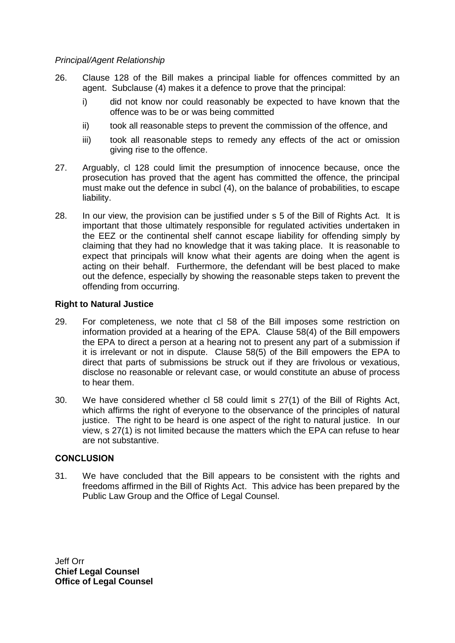#### *Principal/Agent Relationship*

- 26. Clause 128 of the Bill makes a principal liable for offences committed by an agent. Subclause (4) makes it a defence to prove that the principal:
	- i) did not know nor could reasonably be expected to have known that the offence was to be or was being committed
	- ii) took all reasonable steps to prevent the commission of the offence, and
	- iii) took all reasonable steps to remedy any effects of the act or omission giving rise to the offence.
- 27. Arguably, cl 128 could limit the presumption of innocence because, once the prosecution has proved that the agent has committed the offence, the principal must make out the defence in subcl (4), on the balance of probabilities, to escape liability.
- 28. In our view, the provision can be justified under s 5 of the Bill of Rights Act. It is important that those ultimately responsible for regulated activities undertaken in the EEZ or the continental shelf cannot escape liability for offending simply by claiming that they had no knowledge that it was taking place. It is reasonable to expect that principals will know what their agents are doing when the agent is acting on their behalf. Furthermore, the defendant will be best placed to make out the defence, especially by showing the reasonable steps taken to prevent the offending from occurring.

### **Right to Natural Justice**

- 29. For completeness, we note that cl 58 of the Bill imposes some restriction on information provided at a hearing of the EPA. Clause 58(4) of the Bill empowers the EPA to direct a person at a hearing not to present any part of a submission if it is irrelevant or not in dispute. Clause 58(5) of the Bill empowers the EPA to direct that parts of submissions be struck out if they are frivolous or vexatious, disclose no reasonable or relevant case, or would constitute an abuse of process to hear them.
- 30. We have considered whether cl 58 could limit s 27(1) of the Bill of Rights Act, which affirms the right of everyone to the observance of the principles of natural justice. The right to be heard is one aspect of the right to natural justice. In our view, s 27(1) is not limited because the matters which the EPA can refuse to hear are not substantive.

### **CONCLUSION**

31. We have concluded that the Bill appears to be consistent with the rights and freedoms affirmed in the Bill of Rights Act. This advice has been prepared by the Public Law Group and the Office of Legal Counsel.